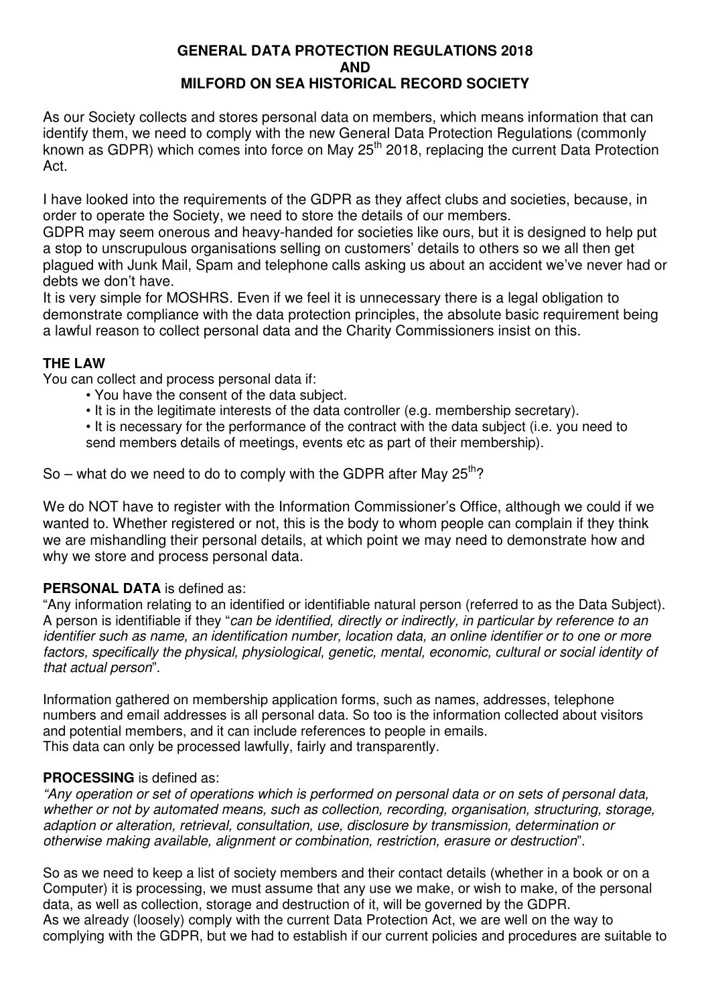#### **GENERAL DATA PROTECTION REGULATIONS 2018 AND MILFORD ON SEA HISTORICAL RECORD SOCIETY**

As our Society collects and stores personal data on members, which means information that can identify them, we need to comply with the new General Data Protection Regulations (commonly known as GDPR) which comes into force on May 25<sup>th</sup> 2018, replacing the current Data Protection Act.

I have looked into the requirements of the GDPR as they affect clubs and societies, because, in order to operate the Society, we need to store the details of our members.

GDPR may seem onerous and heavy-handed for societies like ours, but it is designed to help put a stop to unscrupulous organisations selling on customers' details to others so we all then get plagued with Junk Mail, Spam and telephone calls asking us about an accident we've never had or debts we don't have.

It is very simple for MOSHRS. Even if we feel it is unnecessary there is a legal obligation to demonstrate compliance with the data protection principles, the absolute basic requirement being a lawful reason to collect personal data and the Charity Commissioners insist on this.

# **THE LAW**

You can collect and process personal data if:

- You have the consent of the data subject.
- It is in the legitimate interests of the data controller (e.g. membership secretary).

• It is necessary for the performance of the contract with the data subject (i.e. you need to send members details of meetings, events etc as part of their membership).

So – what do we need to do to comply with the GDPR after May  $25^{th}$ ?

We do NOT have to register with the Information Commissioner's Office, although we could if we wanted to. Whether registered or not, this is the body to whom people can complain if they think we are mishandling their personal details, at which point we may need to demonstrate how and why we store and process personal data.

# **PERSONAL DATA** is defined as:

"Any information relating to an identified or identifiable natural person (referred to as the Data Subject). A person is identifiable if they "can be identified, directly or indirectly, in particular by reference to an identifier such as name, an identification number, location data, an online identifier or to one or more factors, specifically the physical, physiological, genetic, mental, economic, cultural or social identity of that actual person".

Information gathered on membership application forms, such as names, addresses, telephone numbers and email addresses is all personal data. So too is the information collected about visitors and potential members, and it can include references to people in emails. This data can only be processed lawfully, fairly and transparently.

# **PROCESSING** is defined as:

"Any operation or set of operations which is performed on personal data or on sets of personal data, whether or not by automated means, such as collection, recording, organisation, structuring, storage, adaption or alteration, retrieval, consultation, use, disclosure by transmission, determination or otherwise making available, alignment or combination, restriction, erasure or destruction".

So as we need to keep a list of society members and their contact details (whether in a book or on a Computer) it is processing, we must assume that any use we make, or wish to make, of the personal data, as well as collection, storage and destruction of it, will be governed by the GDPR. As we already (loosely) comply with the current Data Protection Act, we are well on the way to complying with the GDPR, but we had to establish if our current policies and procedures are suitable to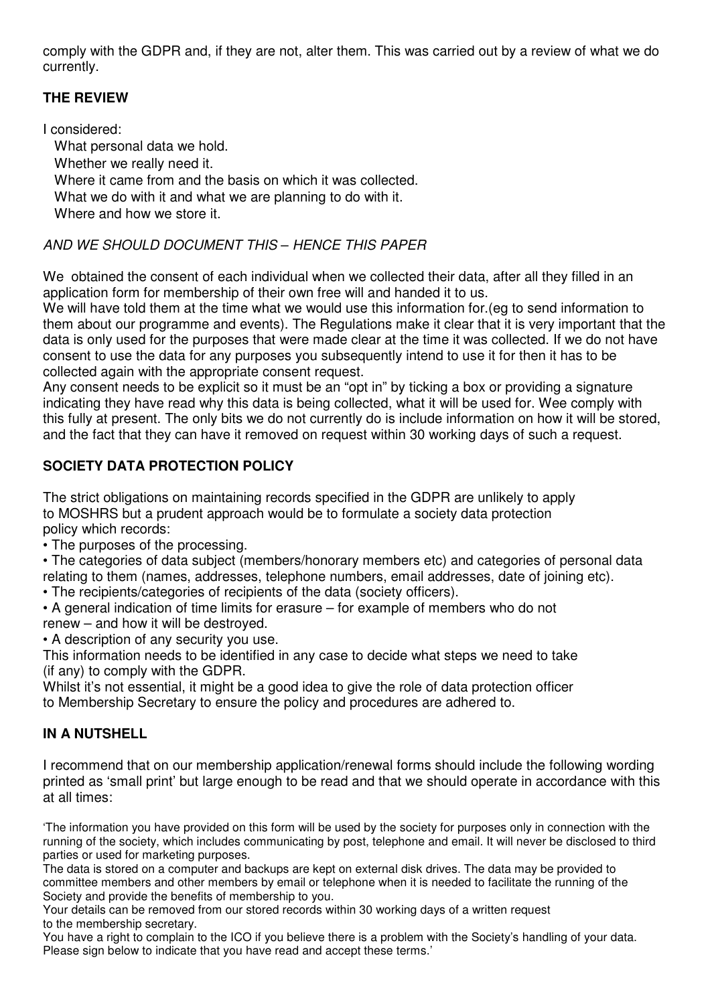comply with the GDPR and, if they are not, alter them. This was carried out by a review of what we do currently.

# **THE REVIEW**

I considered: What personal data we hold. Whether we really need it. Where it came from and the basis on which it was collected. What we do with it and what we are planning to do with it. Where and how we store it.

# AND WE SHOULD DOCUMENT THIS – HENCE THIS PAPER

We obtained the consent of each individual when we collected their data, after all they filled in an application form for membership of their own free will and handed it to us.

We will have told them at the time what we would use this information for (eq to send information to them about our programme and events). The Regulations make it clear that it is very important that the data is only used for the purposes that were made clear at the time it was collected. If we do not have consent to use the data for any purposes you subsequently intend to use it for then it has to be collected again with the appropriate consent request.

Any consent needs to be explicit so it must be an "opt in" by ticking a box or providing a signature indicating they have read why this data is being collected, what it will be used for. Wee comply with this fully at present. The only bits we do not currently do is include information on how it will be stored, and the fact that they can have it removed on request within 30 working days of such a request.

# **SOCIETY DATA PROTECTION POLICY**

The strict obligations on maintaining records specified in the GDPR are unlikely to apply to MOSHRS but a prudent approach would be to formulate a society data protection policy which records:

• The purposes of the processing.

• The categories of data subject (members/honorary members etc) and categories of personal data relating to them (names, addresses, telephone numbers, email addresses, date of joining etc).

- The recipients/categories of recipients of the data (society officers).
- A general indication of time limits for erasure for example of members who do not renew – and how it will be destroyed.
- A description of any security you use.

This information needs to be identified in any case to decide what steps we need to take (if any) to comply with the GDPR.

Whilst it's not essential, it might be a good idea to give the role of data protection officer to Membership Secretary to ensure the policy and procedures are adhered to.

# **IN A NUTSHELL**

I recommend that on our membership application/renewal forms should include the following wording printed as 'small print' but large enough to be read and that we should operate in accordance with this at all times:

'The information you have provided on this form will be used by the society for purposes only in connection with the running of the society, which includes communicating by post, telephone and email. It will never be disclosed to third parties or used for marketing purposes.

The data is stored on a computer and backups are kept on external disk drives. The data may be provided to committee members and other members by email or telephone when it is needed to facilitate the running of the Society and provide the benefits of membership to you.

Your details can be removed from our stored records within 30 working days of a written request to the membership secretary.

You have a right to complain to the ICO if you believe there is a problem with the Society's handling of your data. Please sign below to indicate that you have read and accept these terms.'